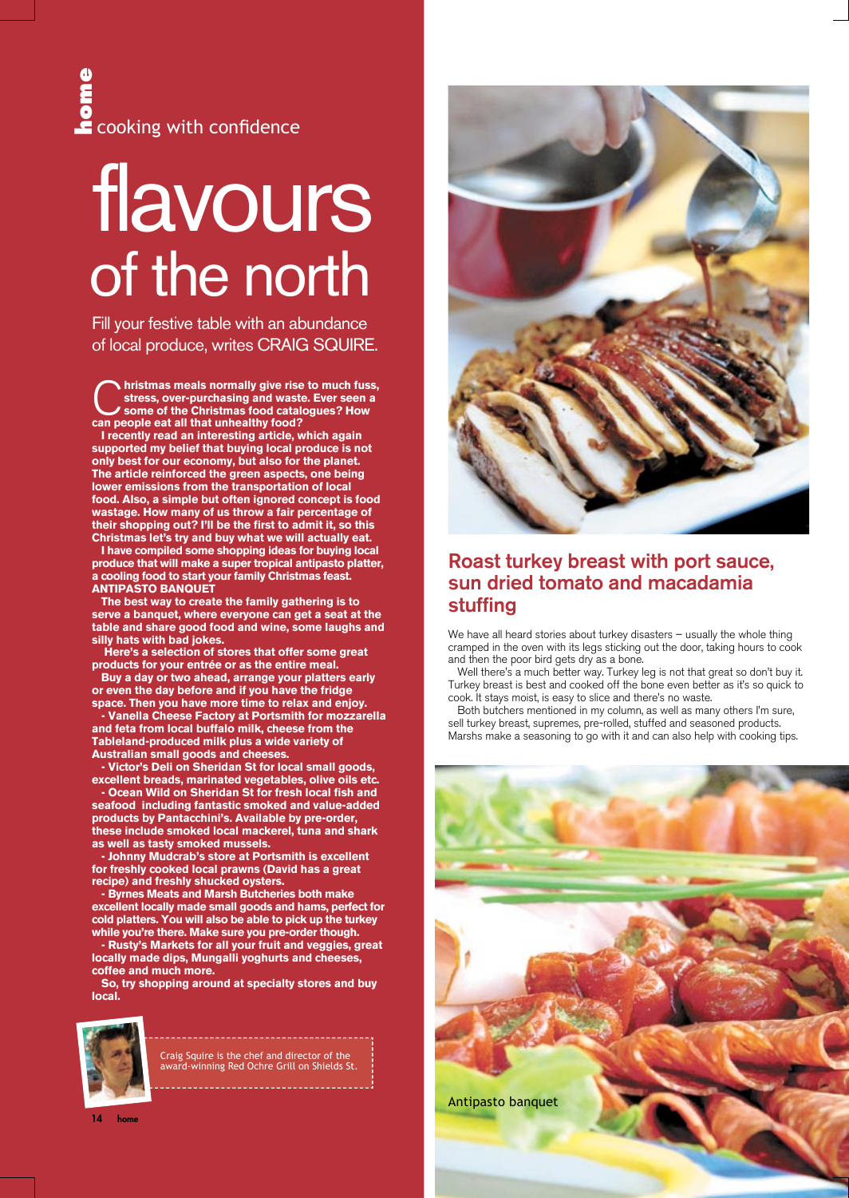# of the north flavours Figure 1974 and the state of the state of the state of the state of the state of the state of the state of the state of the state of the state of the state of the state of the state of the state of the state of the state o

Fill your festive table with an abundance of local produce, writes CRAIG SQUIRE.

**histmas meals normally give rise to much fuss, stress, over-purchasing and waste. Ever seen a some of the Christmas food catalogues? How can people eat all that unhealthy food?**

**I recently read an interesting article, which again supported my belief that buying local produce is not only best for our economy, but also for the planet. The article reinforced the green aspects, one being lower emissions from the transportation of local food. Also, a simple but often ignored concept is food wastage. How many of us throw a fair percentage of their shopping out? I'll be the first to admit it, so this Christmas let's try and buy what we will actually eat.**

**I have compiled some shopping ideas for buying local produce that will make a super tropical antipasto platter, a cooling food to start your family Christmas feast. ANTIPASTO BANQUET**

**The best way to create the family gathering is to serve a banquet, where everyone can get a seat at the table and share good food and wine, some laughs and silly hats with bad jokes.**

 **Here's a selection of stores that offer some great products for your entrée or as the entire meal.** 

**Buy a day or two ahead, arrange your platters early or even the day before and if you have the fridge space. Then you have more time to relax and enjoy.** 

**- Vanella Cheese Factory at Portsmith for mozzarella and feta from local buffalo milk, cheese from the Tableland-produced milk plus a wide variety of Australian small goods and cheeses.** 

**- Victor's Deli on Sheridan St for local small goods, excellent breads, marinated vegetables, olive oils etc.**

**- Ocean Wild on Sheridan St for fresh local fish and seafood including fantastic smoked and value-added products by Pantacchini's. Available by pre-order, these include smoked local mackerel, tuna and shark as well as tasty smoked mussels.**

**- Johnny Mudcrab's store at Portsmith is excellent for freshly cooked local prawns (David has a great recipe) and freshly shucked oysters.**

**- Byrnes Meats and Marsh Butcheries both make excellent locally made small goods and hams, perfect for cold platters. You will also be able to pick up the turkey while you're there. Make sure you pre-order though.**

**- Rusty's Markets for all your fruit and veggies, great locally made dips, Mungalli yoghurts and cheeses, coffee and much more.**

**So, try shopping around at specialty stores and buy local.**



Craig Squire is the chef and director of the award-winning Red Ochre Grill on Shields St.



# Roast turkey breast with port sauce, sun dried tomato and macadamia stuffing

We have all heard stories about turkey disasters – usually the whole thing cramped in the oven with its legs sticking out the door, taking hours to cook and then the poor bird gets dry as a bone.

Well there's a much better way. Turkey leg is not that great so don't buy it. Turkey breast is best and cooked off the bone even better as it's so quick to cook. It stays moist, is easy to slice and there's no waste.

Both butchers mentioned in my column, as well as many others I'm sure, sell turkey breast, supremes, pre-rolled, stuffed and seasoned products. Marshs make a seasoning to go with it and can also help with cooking tips.



14 home